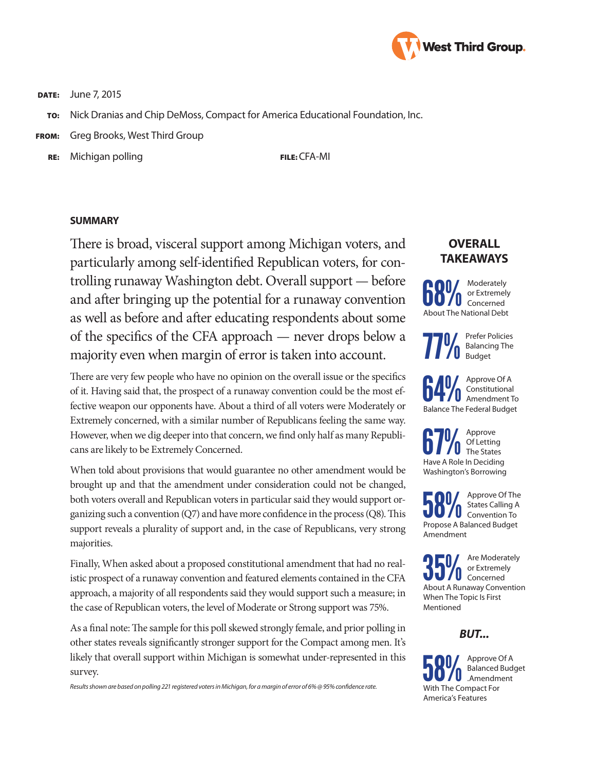

**DATE:** June 7, 2015

- TO: Nick Dranias and Chip DeMoss, Compact for America Educational Foundation, Inc.
- FROM: Greg Brooks, West Third Group
	- RE: Michigan polling FILE: CFA-MI

#### **SUMMARY**

There is broad, visceral support among Michigan voters, and particularly among self-identified Republican voters, for controlling runaway Washington debt. Overall support — before and after bringing up the potential for a runaway convention as well as before and after educating respondents about some of the specifics of the CFA approach — never drops below a majority even when margin of error is taken into account.

There are very few people who have no opinion on the overall issue or the specifics of it. Having said that, the prospect of a runaway convention could be the most effective weapon our opponents have. About a third of all voters were Moderately or Extremely concerned, with a similar number of Republicans feeling the same way. However, when we dig deeper into that concern, we find only half as many Republicans are likely to be Extremely Concerned.

When told about provisions that would guarantee no other amendment would be brought up and that the amendment under consideration could not be changed, both voters overall and Republican voters in particular said they would support organizing such a convention (Q7) and have more confidence in the process (Q8). This support reveals a plurality of support and, in the case of Republicans, very strong majorities.

Finally, When asked about a proposed constitutional amendment that had no realistic prospect of a runaway convention and featured elements contained in the CFA approach, a majority of all respondents said they would support such a measure; in the case of Republican voters, the level of Moderate or Strong support was 75%.

As a final note: The sample for this poll skewed strongly female, and prior polling in other states reveals significantly stronger support for the Compact among men. It's likely that overall support within Michigan is somewhat under-represented in this survey.

*Results shown are based on polling 221 registered voters in Michigan, for a margin of error of 6% @ 95% confidence rate.*

# **OVERALL TAKEAWAYS**



**77%** Prefer Policies<br>**77%** Balancing The<br>Budget Balancing The Budget

**64%** Approve Of A<br> **Amendment To**<br> **Annendment To**<br> **Annendment To** Constitutional Balance The Federal Budget

**67%** Of Letting<br>Have A Role In Deciding Of Letting The States Washington's Borrowing

**58%** Approve Of The States Calling A States Calling A Propose A Balanced Budget Amendment

**35%** Are Moderately<br> **Concerned**<br> **About A Bunaway Convention** or Extremely About A Runaway Convention When The Topic Is First Mentioned

### *BUT...*

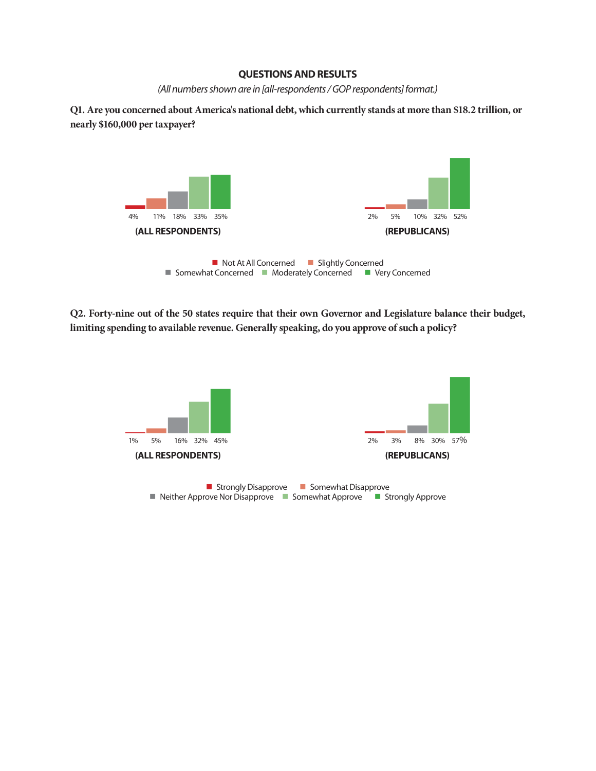#### **QUESTIONS AND RESULTS**

*(All numbers shown are in [all-respondents / GOP respondents] format.)*

**Q1. Are you concerned about America's national debt, which currently stands at more than \$18.2 trillion, or nearly \$160,000 per taxpayer?**



**Q2. Forty-nine out of the 50 states require that their own Governor and Legislature balance their budget, limiting spending to available revenue. Generally speaking, do you approve of such a policy?**

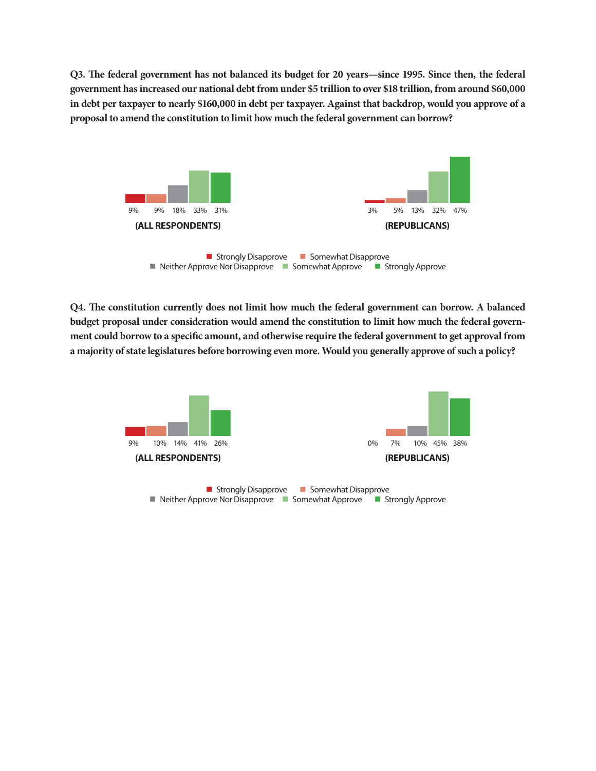**Q3. The federal government has not balanced its budget for 20 years—since 1995. Since then, the federal government has increased our national debt from under \$5 trillion to over \$18 trillion, from around \$60,000 in debt per taxpayer to nearly \$160,000 in debt per taxpayer. Against that backdrop, would you approve of a proposal to amend the constitution to limit how much the federal government can borrow?**



**Q4. The constitution currently does not limit how much the federal government can borrow. A balanced budget proposal under consideration would amend the constitution to limit how much the federal government could borrow to a specific amount, and otherwise require the federal government to get approval from a majority of state legislatures before borrowing even more. Would you generally approve of such a policy?**

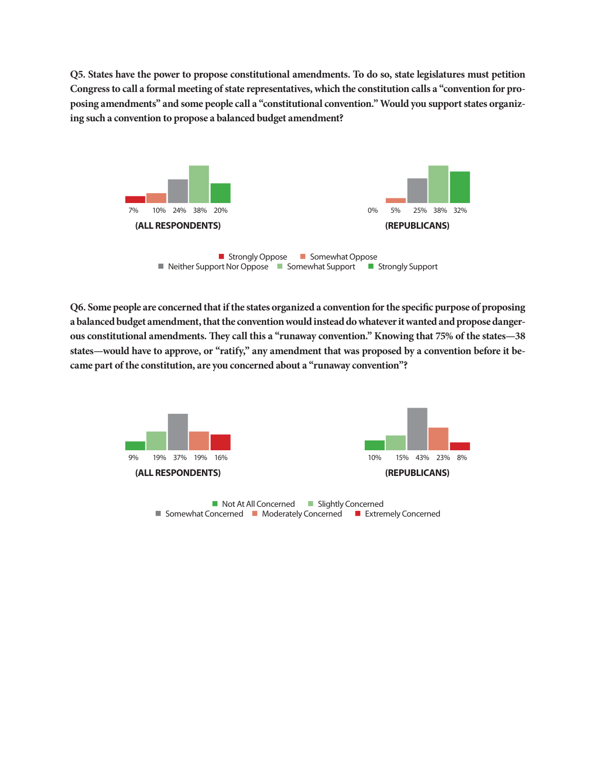**Q5. States have the power to propose constitutional amendments. To do so, state legislatures must petition Congress to call a formal meeting of state representatives, which the constitution calls a "convention for proposing amendments" and some people call a "constitutional convention." Would you support states organizing such a convention to propose a balanced budget amendment?**



 $\blacksquare$  Neither Support Nor Oppose  $\blacksquare$  Somewhat Support  $\blacksquare$  Strongly Support

**Q6. Some people are concerned that if the states organized a convention for the specific purpose of proposing a balanced budget amendment, that the convention would instead do whatever it wanted and propose dangerous constitutional amendments. They call this a "runaway convention." Knowing that 75% of the states—38 states—would have to approve, or "ratify," any amendment that was proposed by a convention before it became part of the constitution, are you concerned about a "runaway convention"?**

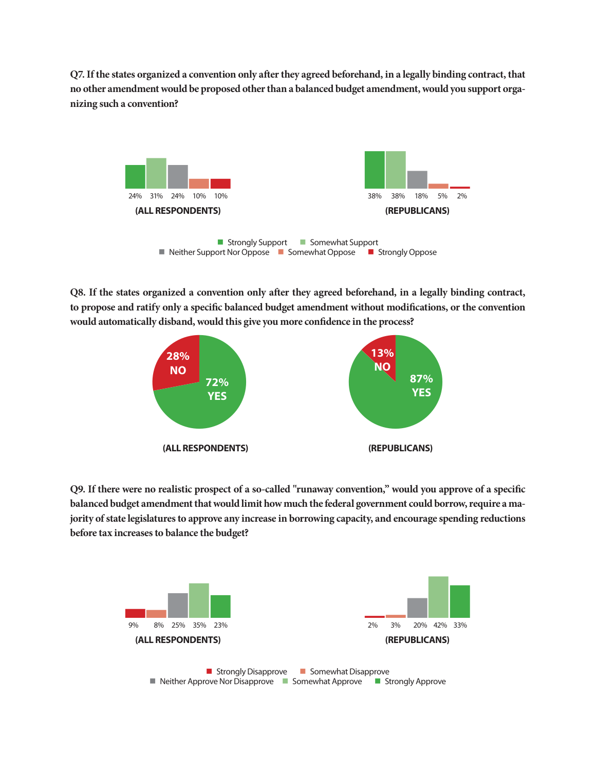**Q7. If the states organized a convention only after they agreed beforehand, in a legally binding contract, that no other amendment would be proposed other than a balanced budget amendment, would you support organizing such a convention?** 



**Q8. If the states organized a convention only after they agreed beforehand, in a legally binding contract, to propose and ratify only a specific balanced budget amendment without modifications, or the convention would automatically disband, would this give you more confidence in the process?**



**Q9. If there were no realistic prospect of a so-called "runaway convention," would you approve of a specific balanced budget amendment that would limit how much the federal government could borrow, require a majority of state legislatures to approve any increase in borrowing capacity, and encourage spending reductions before tax increases to balance the budget?**